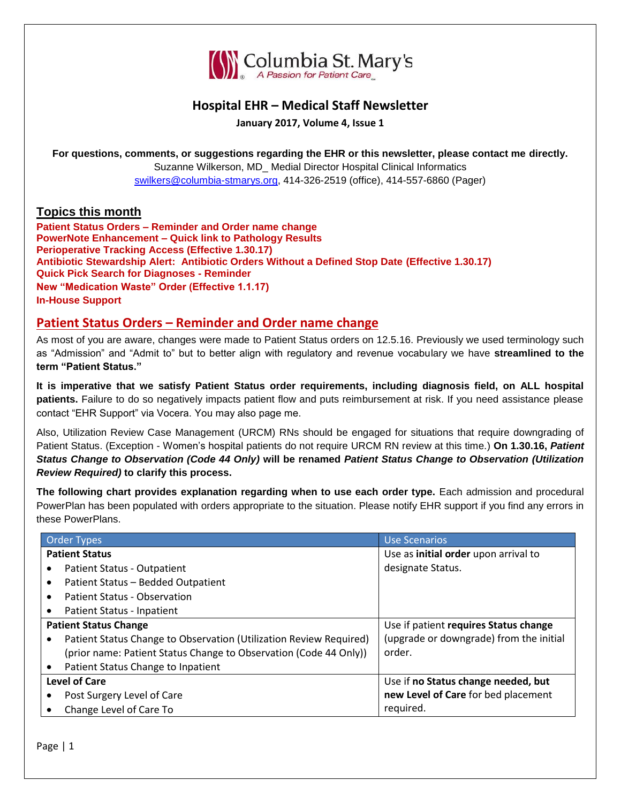

# **Hospital EHR – Medical Staff Newsletter**

**January 2017, Volume 4, Issue 1**

**For questions, comments, or suggestions regarding the EHR or this newsletter, please contact me directly.**

Suzanne Wilkerson, MD\_ Medial Director Hospital Clinical Informatics [swilkers@columbia-stmarys.org,](mailto:swilkers@columbia-stmarys.org) 414-326-2519 (office), 414-557-6860 (Pager)

### **Topics this month**

**Patient Status Orders – Reminder and Order name change PowerNote Enhancement – Quick link to Pathology Results Perioperative Tracking Access (Effective 1.30.17) Antibiotic Stewardship Alert: Antibiotic Orders Without a Defined Stop Date (Effective 1.30.17) Quick Pick Search for Diagnoses - Reminder New "Medication Waste" Order (Effective 1.1.17) In-House Support**

### **Patient Status Orders – Reminder and Order name change**

As most of you are aware, changes were made to Patient Status orders on 12.5.16. Previously we used terminology such as "Admission" and "Admit to" but to better align with regulatory and revenue vocabulary we have **streamlined to the term "Patient Status."**

**It is imperative that we satisfy Patient Status order requirements, including diagnosis field, on ALL hospital patients.** Failure to do so negatively impacts patient flow and puts reimbursement at risk. If you need assistance please contact "EHR Support" via Vocera. You may also page me.

Also, Utilization Review Case Management (URCM) RNs should be engaged for situations that require downgrading of Patient Status. (Exception - Women's hospital patients do not require URCM RN review at this time.) **On 1.30.16,** *Patient Status Change to Observation (Code 44 Only)* **will be renamed** *Patient Status Change to Observation (Utilization Review Required)* **to clarify this process.**

**The following chart provides explanation regarding when to use each order type.** Each admission and procedural PowerPlan has been populated with orders appropriate to the situation. Please notify EHR support if you find any errors in these PowerPlans.

|           | <b>Order Types</b>                                                 | Use Scenarios                           |
|-----------|--------------------------------------------------------------------|-----------------------------------------|
|           | <b>Patient Status</b>                                              | Use as initial order upon arrival to    |
| $\bullet$ | Patient Status - Outpatient                                        | designate Status.                       |
| $\bullet$ | Patient Status - Bedded Outpatient                                 |                                         |
| $\bullet$ | Patient Status - Observation                                       |                                         |
| $\bullet$ | Patient Status - Inpatient                                         |                                         |
|           | <b>Patient Status Change</b>                                       | Use if patient requires Status change   |
| $\bullet$ | Patient Status Change to Observation (Utilization Review Required) | (upgrade or downgrade) from the initial |
|           | (prior name: Patient Status Change to Observation (Code 44 Only))  | order.                                  |
| $\bullet$ | Patient Status Change to Inpatient                                 |                                         |
|           | <b>Level of Care</b>                                               | Use if no Status change needed, but     |
| $\bullet$ | Post Surgery Level of Care                                         | new Level of Care for bed placement     |
| ٠         | Change Level of Care To                                            | required.                               |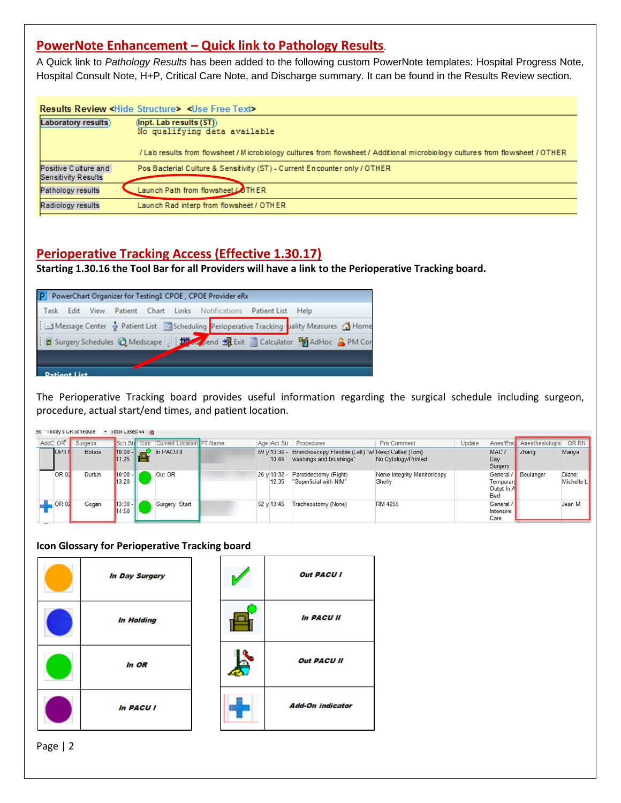# **PowerNote Enhancement – Quick link to Pathology Results**.

A Quick link to *Pathology Results* has been added to the following custom PowerNote templates: Hospital Progress Note, Hospital Consult Note, H+P, Critical Care Note, and Discharge summary. It can be found in the Results Review section.

|                                                    | <b>Results Review <hide structure=""> <use free="" text=""></use></hide></b>                                                                                                                       |
|----------------------------------------------------|----------------------------------------------------------------------------------------------------------------------------------------------------------------------------------------------------|
| Laboratory results)                                | $(\text{lnpt.}$ Lab results $(ST)$<br>No qualifying data available<br>/Lab results from flowsheet / Microbiology cultures from flowsheet / Additional microbiology cultures from flowsheet / OTHER |
| Positive Culture and<br><b>Sensitivity Results</b> | Pos Bacterial Culture & Sensitivity (ST) - Current Encounter only / OTHER                                                                                                                          |
| Pathology results                                  | Launch Path from flowsheet COTHER                                                                                                                                                                  |
| Radiology results                                  | Launch Rad interp from flowsheet / OTHER                                                                                                                                                           |

# **Perioperative Tracking Access (Effective 1.30.17)**

**Starting 1.30.16 the Tool Bar for all Providers will have a link to the Perioperative Tracking board.**

|              | P PowerChart Organizer for Testing1 CPOE, CPOE Provider eRx |  |  |                                                                                           |  |  |
|--------------|-------------------------------------------------------------|--|--|-------------------------------------------------------------------------------------------|--|--|
|              |                                                             |  |  | Task Edit View Patient Chart Links Notifications Patient List Help                        |  |  |
|              |                                                             |  |  | Message Center & Patient List En Scheduling Perioperative Tracking uality Measures & Home |  |  |
|              |                                                             |  |  | E Surgery Schedules & Medscape   HA Coend H Exit   Calculator 80 AdHoc & PM Cor           |  |  |
|              |                                                             |  |  |                                                                                           |  |  |
| Dationt List |                                                             |  |  |                                                                                           |  |  |

The Perioperative Tracking board provides useful information regarding the surgical schedule including surgeon, procedure, actual start/end times, and patient location.

| en: "Today's OK Schedule |               | <b>TOTal Cases: 44 10</b> |                                       |  |                              |                                                                               |                                        |        |                                                 |                          |                      |
|--------------------------|---------------|---------------------------|---------------------------------------|--|------------------------------|-------------------------------------------------------------------------------|----------------------------------------|--------|-------------------------------------------------|--------------------------|----------------------|
| AddC OR                  | Surgeon       |                           | Sch Str Icon Current Location PT Name |  |                              | Age Act Str Procedures                                                        | Priv Comment                           | Update |                                                 | Anes/Enc Anesthesiologis | OR RN                |
| OP3N                     | <b>Botros</b> | 11:25                     | $10:00 - $ In PACU II                 |  | $59 \times 10:34 -$<br>10:44 | Bronchoscopy Flexible (Left) "w/ Resp Called {Tom}<br>washings and brushings" | No Cytology/Printed                    |        | MAC.<br>Day<br>Surgery                          | Zhang                    | Mariya               |
| OR 02                    | Durkin        | $10:00 -$<br>13:20        | Out OR                                |  | 26 v 10:32 -<br>12:35        | Parotidectomy (Right)<br>"Superficial with NIM"                               | Nerve Integrity Monitor/copy<br>Shelly |        | <b>General</b><br>Temporar<br>Outpt In A<br>Bed | Boulanger                | Diane:<br>Michelle L |
| OR 02                    | Gogan         | $13:30 -$<br>14:50        | Surgery Start                         |  | 52 y 13:45                   | Tracheostomy (None)                                                           | RM 4255                                |        | General<br>Intensive<br>Care                    |                          | Jean M               |

#### **Icon Glossary for Perioperative Tracking board**

| <b>In Day Surgery</b> |  | <b>Out PACU I</b>       |
|-----------------------|--|-------------------------|
| <b>In Holding</b>     |  | <b>In PACU II</b>       |
| In OR                 |  | <b>Out PACU II</b>      |
| <b>In PACU I</b>      |  | <b>Add-On indicator</b> |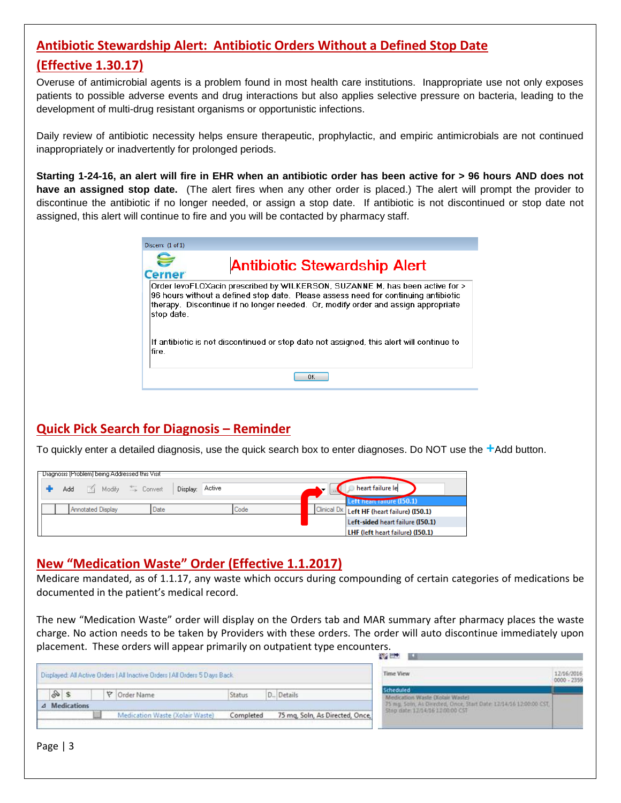## **Antibiotic Stewardship Alert: Antibiotic Orders Without a Defined Stop Date**

# **(Effective 1.30.17)**

Overuse of antimicrobial agents is a problem found in most health care institutions. Inappropriate use not only exposes patients to possible adverse events and drug interactions but also applies selective pressure on bacteria, leading to the development of multi-drug resistant organisms or opportunistic infections.

Daily review of antibiotic necessity helps ensure therapeutic, prophylactic, and empiric antimicrobials are not continued inappropriately or inadvertently for prolonged periods.

**Starting 1-24-16, an alert will fire in EHR when an antibiotic order has been active for > 96 hours AND does not have an assigned stop date.** (The alert fires when any other order is placed.) The alert will prompt the provider to discontinue the antibiotic if no longer needed, or assign a stop date. If antibiotic is not discontinued or stop date not assigned, this alert will continue to fire and you will be contacted by pharmacy staff.

| Discern: (1 of 1) |                                                                                                                                                                                                                                                         |
|-------------------|---------------------------------------------------------------------------------------------------------------------------------------------------------------------------------------------------------------------------------------------------------|
| <b>Cerner</b>     | <b>Antibiotic Stewardship Alert</b>                                                                                                                                                                                                                     |
| stop date.        | Order levoFLOXacin prescribed by WILKERSON, SUZANNE M, has been active for ><br>96 hours without a defined stop date. Please assess need for continuing antibiotic<br>therapy. Discontinue if no longer needed. Or, modify order and assign appropriate |
| lfire.            | If antibiotic is not discontinued or stop date not assigned, this alert will continue to                                                                                                                                                                |
|                   | ΠK                                                                                                                                                                                                                                                      |

# **Quick Pick Search for Diagnosis – Reminder**

To quickly enter a detailed diagnosis, use the quick search box to enter diagnoses. Do NOT use the **+**Add button.

| Diagnosis [Problem] being Addressed this Visit |                    |      |         |                                             |
|------------------------------------------------|--------------------|------|---------|---------------------------------------------|
| Modify = Convert<br>Add                        | Active<br>Display: |      | $\cdot$ | heart failure le                            |
|                                                |                    |      |         | Left heart railure (150.1)                  |
| Annotated Display                              | Date               | Code |         | Clinical Dx Left HF (heart failure) (150.1) |
|                                                |                    |      |         | Left-sided heart failure (I50.1)            |
|                                                |                    |      |         | LHF (left heart failure) (I50.1)            |

## **New "Medication Waste" Order (Effective 1.1.2017)**

Medicare mandated, as of 1.1.17, any waste which occurs during compounding of certain categories of medications be documented in the patient's medical record.

The new "Medication Waste" order will display on the Orders tab and MAR summary after pharmacy places the waste charge. No action needs to be taken by Providers with these orders. The order will auto discontinue immediately upon placement. These orders will appear primarily on outpatient type encounters.

|    |               |  |                                                                             |           |                                 | 67 E.J<br>-                                                                                            |                           |
|----|---------------|--|-----------------------------------------------------------------------------|-----------|---------------------------------|--------------------------------------------------------------------------------------------------------|---------------------------|
|    |               |  | Displayed: All Active Orders   All Inactive Orders   All Orders 5 Days Back |           |                                 | Time View                                                                                              | 12/16/2016<br>0000 - 2359 |
| D. |               |  | P Order Name                                                                | Status    | D., Details                     | <b>Scheduled</b><br>Medication Waste (Xobur Waste)                                                     |                           |
|    | 4 Medications |  |                                                                             |           |                                 | 75 mg. Soln, As Directed, Once, Start Date: 12/14/16 12:00:00 CST.<br>Stop date: 12/14/16 12:00:00 CST |                           |
|    |               |  | Medication Waste (Xolair Waste)                                             | Completed | 75 mg, Soln, As Directed, Once, |                                                                                                        |                           |

Page | 3